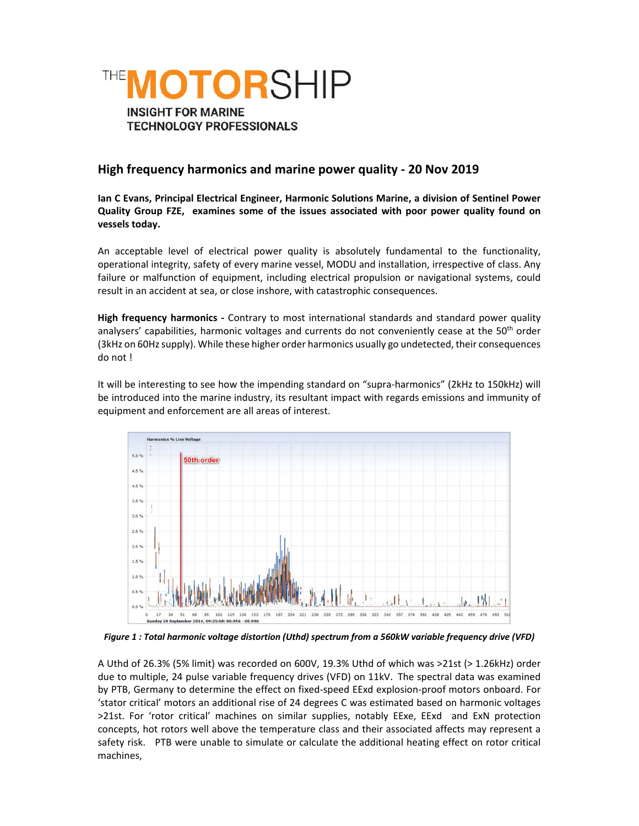

## **High frequency harmonics and marine power quality ‐ 20 Nov 2019**

**Ian C Evans, Principal Electrical Engineer, Harmonic Solutions Marine, a division of Sentinel Power Quality Group FZE, examines some of the issues associated with poor power quality found on vessels today.**

An acceptable level of electrical power quality is absolutely fundamental to the functionality, operational integrity, safety of every marine vessel, MODU and installation, irrespective of class. Any failure or malfunction of equipment, including electrical propulsion or navigational systems, could result in an accident at sea, or close inshore, with catastrophic consequences.

**High frequency harmonics ‐** Contrary to most international standards and standard power quality analysers' capabilities, harmonic voltages and currents do not conveniently cease at the  $50<sup>th</sup>$  order (3kHz on 60Hz supply). While these higher order harmonics usually go undetected, their consequences do not !

It will be interesting to see how the impending standard on "supra‐harmonics" (2kHz to 150kHz) will be introduced into the marine industry, its resultant impact with regards emissions and immunity of equipment and enforcement are all areas of interest.



*Figure 1 : Total harmonic voltage distortion (Uthd) spectrum from a 560kW variable frequency drive (VFD)*

A Uthd of 26.3% (5% limit) was recorded on 600V, 19.3% Uthd of which was >21st (> 1.26kHz) order due to multiple, 24 pulse variable frequency drives (VFD) on 11kV. The spectral data was examined by PTB, Germany to determine the effect on fixed-speed EExd explosion-proof motors onboard. For 'stator critical' motors an additional rise of 24 degrees C was estimated based on harmonic voltages >21st. For 'rotor critical' machines on similar supplies, notably EExe, EExd and ExN protection concepts, hot rotors well above the temperature class and their associated affects may represent a safety risk. PTB were unable to simulate or calculate the additional heating effect on rotor critical machines,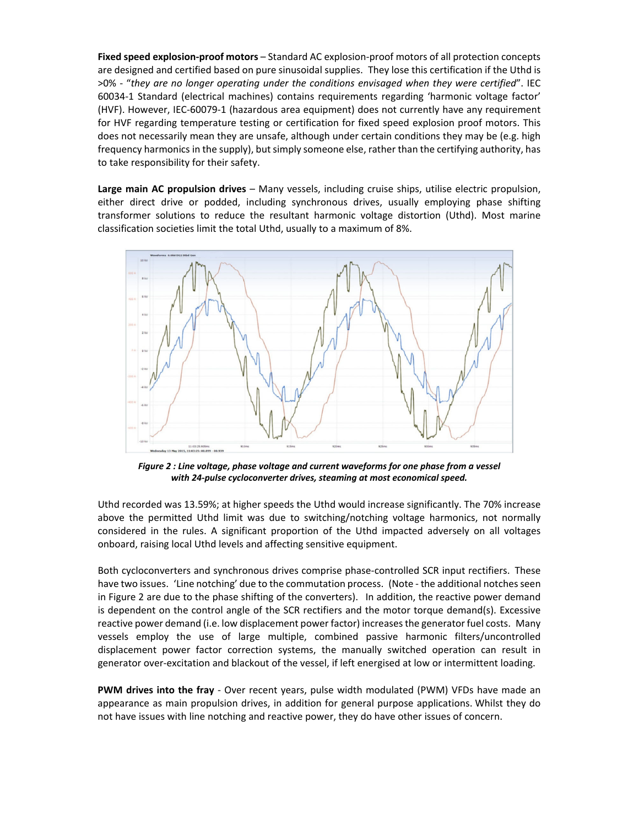**Fixed speed explosion‐proof motors** – Standard AC explosion‐proof motors of all protection concepts are designed and certified based on pure sinusoidal supplies. They lose this certification if the Uthd is >0% ‐ "*they are no longer operating under the conditions envisaged when they were certified*". IEC 60034‐1 Standard (electrical machines) contains requirements regarding 'harmonic voltage factor' (HVF). However, IEC‐60079‐1 (hazardous area equipment) does not currently have any requirement for HVF regarding temperature testing or certification for fixed speed explosion proof motors. This does not necessarily mean they are unsafe, although under certain conditions they may be (e.g. high frequency harmonics in the supply), but simply someone else, rather than the certifying authority, has to take responsibility for their safety.

**Large main AC propulsion drives** – Many vessels, including cruise ships, utilise electric propulsion, either direct drive or podded, including synchronous drives, usually employing phase shifting transformer solutions to reduce the resultant harmonic voltage distortion (Uthd). Most marine classification societies limit the total Uthd, usually to a maximum of 8%.



Figure 2 : Line voltage, phase voltage and current waveforms for one phase from a vessel *with 24‐pulse cycloconverter drives, steaming at most economical speed.*

Uthd recorded was 13.59%; at higher speeds the Uthd would increase significantly. The 70% increase above the permitted Uthd limit was due to switching/notching voltage harmonics, not normally considered in the rules. A significant proportion of the Uthd impacted adversely on all voltages onboard, raising local Uthd levels and affecting sensitive equipment.

Both cycloconverters and synchronous drives comprise phase-controlled SCR input rectifiers. These have two issues. 'Line notching' due to the commutation process. (Note - the additional notches seen in Figure 2 are due to the phase shifting of the converters). In addition, the reactive power demand is dependent on the control angle of the SCR rectifiers and the motor torque demand(s). Excessive reactive power demand (i.e. low displacement power factor) increasesthe generator fuel costs. Many vessels employ the use of large multiple, combined passive harmonic filters/uncontrolled displacement power factor correction systems, the manually switched operation can result in generator over‐excitation and blackout of the vessel, if left energised at low or intermittent loading.

**PWM drives into the fray** ‐ Over recent years, pulse width modulated (PWM) VFDs have made an appearance as main propulsion drives, in addition for general purpose applications. Whilst they do not have issues with line notching and reactive power, they do have other issues of concern.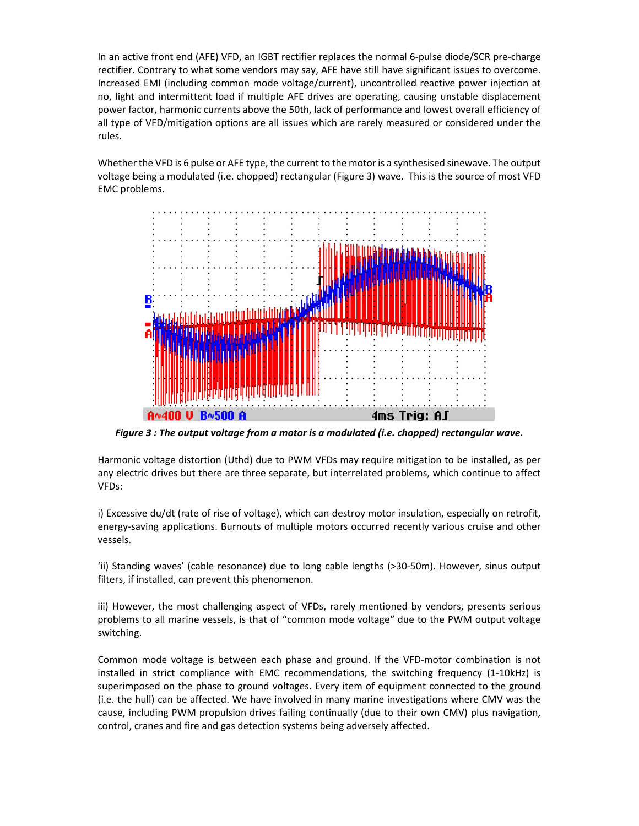In an active front end (AFE) VFD, an IGBT rectifier replaces the normal 6‐pulse diode/SCR pre‐charge rectifier. Contrary to what some vendors may say, AFE have still have significant issues to overcome. Increased EMI (including common mode voltage/current), uncontrolled reactive power injection at no, light and intermittent load if multiple AFE drives are operating, causing unstable displacement power factor, harmonic currents above the 50th, lack of performance and lowest overall efficiency of all type of VFD/mitigation options are all issues which are rarely measured or considered under the rules.

Whether the VFD is 6 pulse or AFE type, the current to the motor is a synthesised sinewave. The output voltage being a modulated (i.e. chopped) rectangular (Figure 3) wave. This is the source of most VFD EMC problems.



*Figure 3 : The output voltage from a motor is a modulated (i.e. chopped) rectangular wave.*

Harmonic voltage distortion (Uthd) due to PWM VFDs may require mitigation to be installed, as per any electric drives but there are three separate, but interrelated problems, which continue to affect VFDs:

i) Excessive du/dt (rate of rise of voltage), which can destroy motor insulation, especially on retrofit, energy‐saving applications. Burnouts of multiple motors occurred recently various cruise and other vessels.

'ii) Standing waves' (cable resonance) due to long cable lengths (>30‐50m). However, sinus output filters, if installed, can prevent this phenomenon.

iii) However, the most challenging aspect of VFDs, rarely mentioned by vendors, presents serious problems to all marine vessels, is that of "common mode voltage" due to the PWM output voltage switching.

Common mode voltage is between each phase and ground. If the VFD‐motor combination is not installed in strict compliance with EMC recommendations, the switching frequency (1‐10kHz) is superimposed on the phase to ground voltages. Every item of equipment connected to the ground (i.e. the hull) can be affected. We have involved in many marine investigations where CMV was the cause, including PWM propulsion drives failing continually (due to their own CMV) plus navigation, control, cranes and fire and gas detection systems being adversely affected.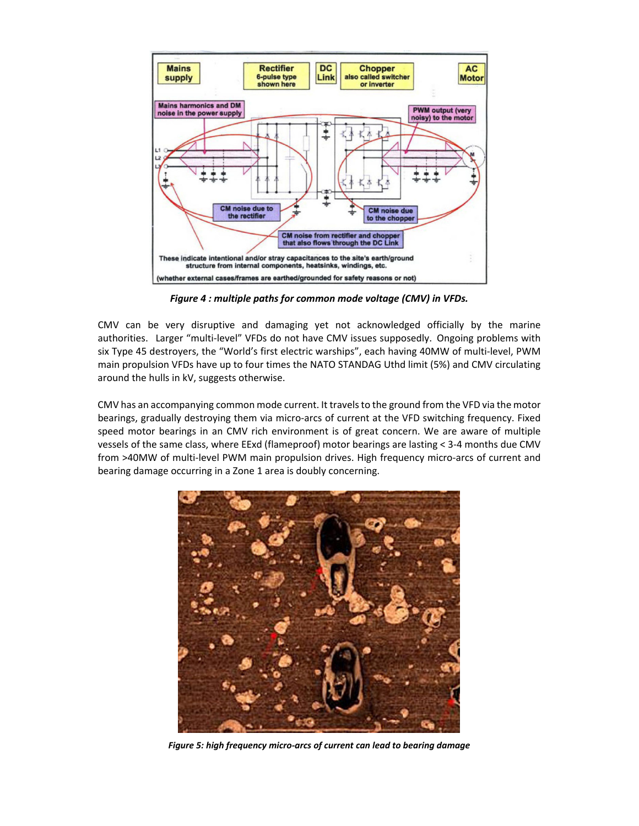

*Figure 4 : multiple paths for common mode voltage (CMV) in VFDs.*

CMV can be very disruptive and damaging yet not acknowledged officially by the marine authorities. Larger "multi-level" VFDs do not have CMV issues supposedly. Ongoing problems with six Type 45 destroyers, the "World's first electric warships", each having 40MW of multi-level, PWM main propulsion VFDs have up to four times the NATO STANDAG Uthd limit (5%) and CMV circulating around the hulls in kV, suggests otherwise.

CMV has an accompanying common mode current. It travels to the ground from the VFD via the motor bearings, gradually destroying them via micro‐arcs of current at the VFD switching frequency. Fixed speed motor bearings in an CMV rich environment is of great concern. We are aware of multiple vessels of the same class, where EExd (flameproof) motor bearings are lasting < 3‐4 months due CMV from >40MW of multi-level PWM main propulsion drives. High frequency micro-arcs of current and bearing damage occurring in a Zone 1 area is doubly concerning.



*Figure 5: high frequency micro‐arcs of current can lead to bearing damage*